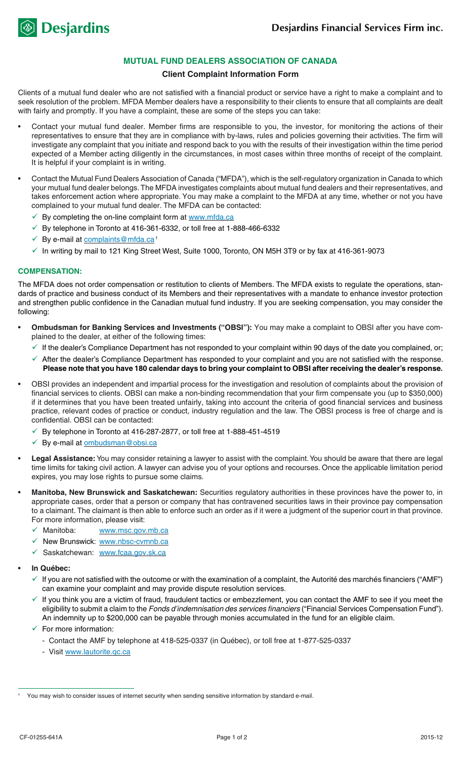

# **MUTUAL FUND DEALERS ASSOCIATION OF CANADA**

## **Client Complaint Information Form**

Clients of a mutual fund dealer who are not satisfied with a financial product or service have a right to make a complaint and to seek resolution of the problem. MFDA Member dealers have a responsibility to their clients to ensure that all complaints are dealt with fairly and promptly. If you have a complaint, these are some of the steps you can take:

- Contact your mutual fund dealer. Member firms are responsible to you, the investor, for monitoring the actions of their representatives to ensure that they are in compliance with by-laws, rules and policies governing their activities. The firm will investigate any complaint that you initiate and respond back to you with the results of their investigation within the time period expected of a Member acting diligently in the circumstances, in most cases within three months of receipt of the complaint. It is helpful if your complaint is in writing.
- Contact the Mutual Fund Dealers Association of Canada ("MFDA"), which is the self-regulatory organization in Canada to which your mutual fund dealer belongs. The MFDA investigates complaints about mutual fund dealers and their representatives, and takes enforcement action where appropriate. You may make a complaint to the MFDA at any time, whether or not you have complained to your mutual fund dealer. The MFDA can be contacted:
	- ✔ By completing the on-line complaint form at www.mfda.ca
	- $\sqrt{ }$  By telephone in Toronto at 416-361-6332, or toll free at 1-888-466-6332
	- ← By e-mail at complaints@mfda.ca<sup>1</sup>
	- $\checkmark$  In writing by mail to 121 King Street West, Suite 1000, Toronto, ON M5H 3T9 or by fax at 416-361-9073

#### **Compensation:**

The MFDA does not order compensation or restitution to clients of Members. The MFDA exists to regulate the operations, standards of practice and business conduct of its Members and their representatives with a mandate to enhance investor protection and strengthen public confidence in the Canadian mutual fund industry. If you are seeking compensation, you may consider the following:

- Ombudsman for Banking Services and Investments ("OBSI"): You may make a complaint to OBSI after you have complained to the dealer, at either of the following times:
	- $\checkmark$  If the dealer's Compliance Department has not responded to your complaint within 90 days of the date you complained, or;
	- $\checkmark$  After the dealer's Compliance Department has responded to your complaint and you are not satisfied with the response. **Please note that you have 180 calendar days to bring your complaint to OBSI after receiving the dealer's response.**
- OBSI provides an independent and impartial process for the investigation and resolution of complaints about the provision of financial services to clients. OBSI can make a non-binding recommendation that your firm compensate you (up to \$350,000) if it determines that you have been treated unfairly, taking into account the criteria of good financial services and business practice, relevant codes of practice or conduct, industry regulation and the law. The OBSI process is free of charge and is confidential. OBSI can be contacted:
	- $\checkmark$  By telephone in Toronto at 416-287-2877, or toll free at 1-888-451-4519
	- $\checkmark$  By e-mail at ombudsman@obsi.ca
- Legal Assistance: You may consider retaining a lawyer to assist with the complaint. You should be aware that there are legal time limits for taking civil action. A lawyer can advise you of your options and recourses. Once the applicable limitation period expires, you may lose rights to pursue some claims.
- Manitoba, New Brunswick and Saskatchewan: Securities regulatory authorities in these provinces have the power to, in appropriate cases, order that a person or company that has contravened securities laws in their province pay compensation to a claimant. The claimant is then able to enforce such an order as if it were a judgment of the superior court in that province. For more information, please visit:
	- √ Manitoba: www.msc.gov.mb.ca
	- New Brunswick: www.nbsc-cvmnb.ca
	- √ Saskatchewan: www.fcaa.gov.sk.ca
- **In Québec:** 
	- $\checkmark$  If you are not satisfied with the outcome or with the examination of a complaint, the Autorité des marchés financiers ("AMF") can examine your complaint and may provide dispute resolution services.
	- $\checkmark$  If you think you are a victim of fraud, fraudulent tactics or embezzlement, you can contact the AMF to see if you meet the eligibility to submit a claim to the *Fonds d'indemnisation des services financiers* ("Financial Services Compensation Fund"). An indemnity up to \$200,000 can be payable through monies accumulated in the fund for an eligible claim.
	- $\checkmark$  For more information:
		- Contact the AMF by telephone at 418-525-0337 (in Québec), or toll free at 1-877-525-0337
		- Visit www.lautorite.qc.ca

You may wish to consider issues of internet security when sending sensitive information by standard e-mail.